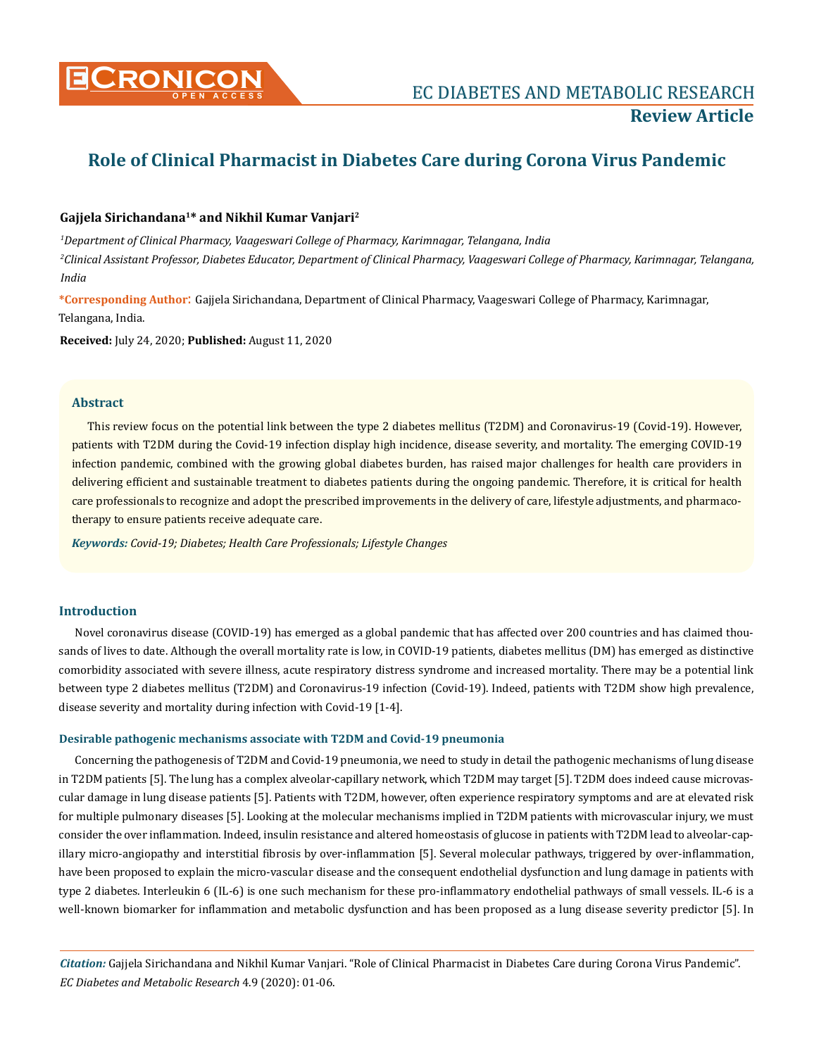

# **Role of Clinical Pharmacist in Diabetes Care during Corona Virus Pandemic**

### **Gajjela Sirichandana1\* and Nikhil Kumar Vanjari2**

*1 Department of Clinical Pharmacy, Vaageswari College of Pharmacy, Karimnagar, Telangana, India* 

*2 Clinical Assistant Professor, Diabetes Educator, Department of Clinical Pharmacy, Vaageswari College of Pharmacy, Karimnagar, Telangana, India*

**\*Corresponding Author**: Gajjela Sirichandana, Department of Clinical Pharmacy, Vaageswari College of Pharmacy, Karimnagar, Telangana, India.

**Received:** July 24, 2020; **Published:** August 11, 2020

### **Abstract**

This review focus on the potential link between the type 2 diabetes mellitus (T2DM) and Coronavirus-19 (Covid-19). However, patients with T2DM during the Covid-19 infection display high incidence, disease severity, and mortality. The emerging COVID-19 infection pandemic, combined with the growing global diabetes burden, has raised major challenges for health care providers in delivering efficient and sustainable treatment to diabetes patients during the ongoing pandemic. Therefore, it is critical for health care professionals to recognize and adopt the prescribed improvements in the delivery of care, lifestyle adjustments, and pharmacotherapy to ensure patients receive adequate care.

*Keywords: Covid-19; Diabetes; Health Care Professionals; Lifestyle Changes*

### **Introduction**

Novel coronavirus disease (COVID-19) has emerged as a global pandemic that has affected over 200 countries and has claimed thousands of lives to date. Although the overall mortality rate is low, in COVID-19 patients, diabetes mellitus (DM) has emerged as distinctive comorbidity associated with severe illness, acute respiratory distress syndrome and increased mortality. There may be a potential link between type 2 diabetes mellitus (T2DM) and Coronavirus-19 infection (Covid-19). Indeed, patients with T2DM show high prevalence, disease severity and mortality during infection with Covid-19 [1-4].

### **Desirable pathogenic mechanisms associate with T2DM and Covid-19 pneumonia**

Concerning the pathogenesis of T2DM and Covid-19 pneumonia, we need to study in detail the pathogenic mechanisms of lung disease in T2DM patients [5]. The lung has a complex alveolar-capillary network, which T2DM may target [5]. T2DM does indeed cause microvascular damage in lung disease patients [5]. Patients with T2DM, however, often experience respiratory symptoms and are at elevated risk for multiple pulmonary diseases [5]. Looking at the molecular mechanisms implied in T2DM patients with microvascular injury, we must consider the over inflammation. Indeed, insulin resistance and altered homeostasis of glucose in patients with T2DM lead to alveolar-capillary micro-angiopathy and interstitial fibrosis by over-inflammation [5]. Several molecular pathways, triggered by over-inflammation, have been proposed to explain the micro-vascular disease and the consequent endothelial dysfunction and lung damage in patients with type 2 diabetes. Interleukin 6 (IL-6) is one such mechanism for these pro-inflammatory endothelial pathways of small vessels. IL-6 is a well-known biomarker for inflammation and metabolic dysfunction and has been proposed as a lung disease severity predictor [5]. In

*Citation:* Gajjela Sirichandana and Nikhil Kumar Vanjari. "Role of Clinical Pharmacist in Diabetes Care during Corona Virus Pandemic". *EC Diabetes and Metabolic Research* 4.9 (2020): 01-06.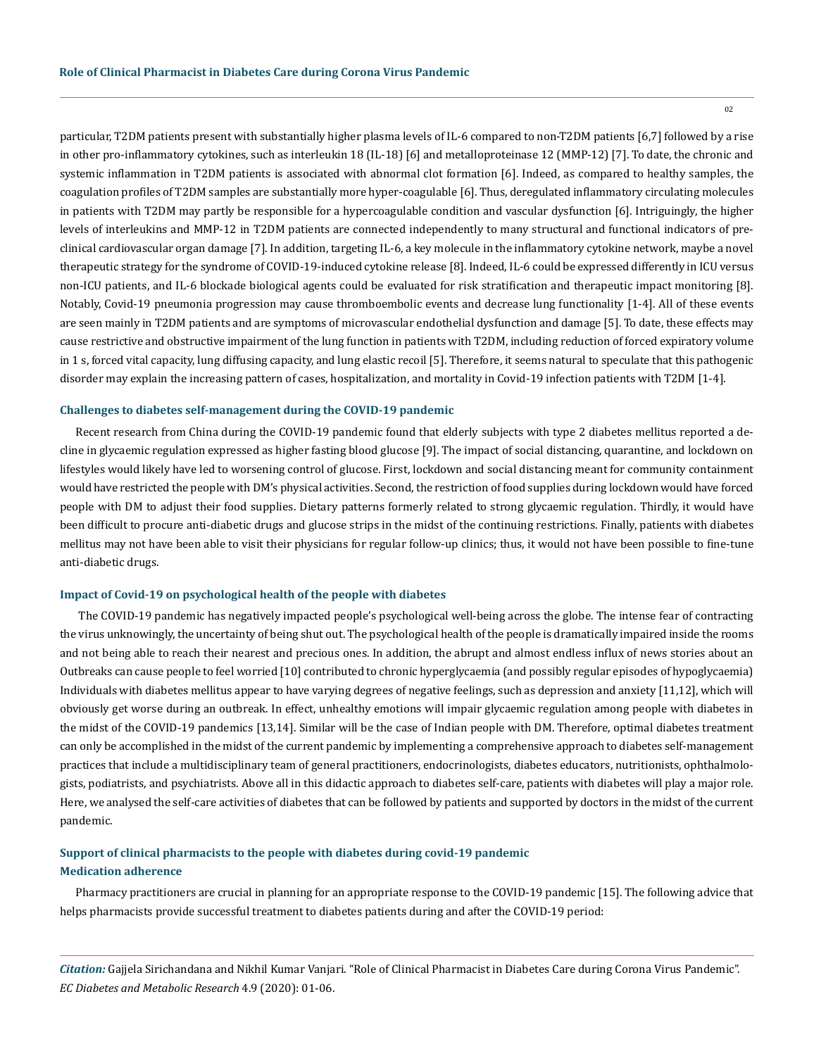02

particular, T2DM patients present with substantially higher plasma levels of IL-6 compared to non-T2DM patients [6,7] followed by a rise in other pro-inflammatory cytokines, such as interleukin 18 (IL-18) [6] and metalloproteinase 12 (MMP-12) [7]. To date, the chronic and systemic inflammation in T2DM patients is associated with abnormal clot formation [6]. Indeed, as compared to healthy samples, the coagulation profiles of T2DM samples are substantially more hyper-coagulable [6]. Thus, deregulated inflammatory circulating molecules in patients with T2DM may partly be responsible for a hypercoagulable condition and vascular dysfunction [6]. Intriguingly, the higher levels of interleukins and MMP-12 in T2DM patients are connected independently to many structural and functional indicators of preclinical cardiovascular organ damage [7]. In addition, targeting IL-6, a key molecule in the inflammatory cytokine network, maybe a novel therapeutic strategy for the syndrome of COVID-19-induced cytokine release [8]. Indeed, IL-6 could be expressed differently in ICU versus non-ICU patients, and IL-6 blockade biological agents could be evaluated for risk stratification and therapeutic impact monitoring [8]. Notably, Covid-19 pneumonia progression may cause thromboembolic events and decrease lung functionality [1-4]. All of these events are seen mainly in T2DM patients and are symptoms of microvascular endothelial dysfunction and damage [5]. To date, these effects may cause restrictive and obstructive impairment of the lung function in patients with T2DM, including reduction of forced expiratory volume in 1 s, forced vital capacity, lung diffusing capacity, and lung elastic recoil [5]. Therefore, it seems natural to speculate that this pathogenic disorder may explain the increasing pattern of cases, hospitalization, and mortality in Covid-19 infection patients with T2DM [1-4].

#### **Challenges to diabetes self-management during the COVID-19 pandemic**

Recent research from China during the COVID-19 pandemic found that elderly subjects with type 2 diabetes mellitus reported a decline in glycaemic regulation expressed as higher fasting blood glucose [9]. The impact of social distancing, quarantine, and lockdown on lifestyles would likely have led to worsening control of glucose. First, lockdown and social distancing meant for community containment would have restricted the people with DM's physical activities. Second, the restriction of food supplies during lockdown would have forced people with DM to adjust their food supplies. Dietary patterns formerly related to strong glycaemic regulation. Thirdly, it would have been difficult to procure anti-diabetic drugs and glucose strips in the midst of the continuing restrictions. Finally, patients with diabetes mellitus may not have been able to visit their physicians for regular follow-up clinics; thus, it would not have been possible to fine-tune anti-diabetic drugs.

### **Impact of Covid-19 on psychological health of the people with diabetes**

 The COVID-19 pandemic has negatively impacted people's psychological well-being across the globe. The intense fear of contracting the virus unknowingly, the uncertainty of being shut out. The psychological health of the people is dramatically impaired inside the rooms and not being able to reach their nearest and precious ones. In addition, the abrupt and almost endless influx of news stories about an Outbreaks can cause people to feel worried [10] contributed to chronic hyperglycaemia (and possibly regular episodes of hypoglycaemia) Individuals with diabetes mellitus appear to have varying degrees of negative feelings, such as depression and anxiety [11,12], which will obviously get worse during an outbreak. In effect, unhealthy emotions will impair glycaemic regulation among people with diabetes in the midst of the COVID-19 pandemics [13,14]. Similar will be the case of Indian people with DM. Therefore, optimal diabetes treatment can only be accomplished in the midst of the current pandemic by implementing a comprehensive approach to diabetes self-management practices that include a multidisciplinary team of general practitioners, endocrinologists, diabetes educators, nutritionists, ophthalmologists, podiatrists, and psychiatrists. Above all in this didactic approach to diabetes self-care, patients with diabetes will play a major role. Here, we analysed the self-care activities of diabetes that can be followed by patients and supported by doctors in the midst of the current pandemic.

### **Support of clinical pharmacists to the people with diabetes during covid-19 pandemic Medication adherence**

Pharmacy practitioners are crucial in planning for an appropriate response to the COVID-19 pandemic [15]. The following advice that helps pharmacists provide successful treatment to diabetes patients during and after the COVID-19 period:

*Citation:* Gajjela Sirichandana and Nikhil Kumar Vanjari. "Role of Clinical Pharmacist in Diabetes Care during Corona Virus Pandemic". *EC Diabetes and Metabolic Research* 4.9 (2020): 01-06.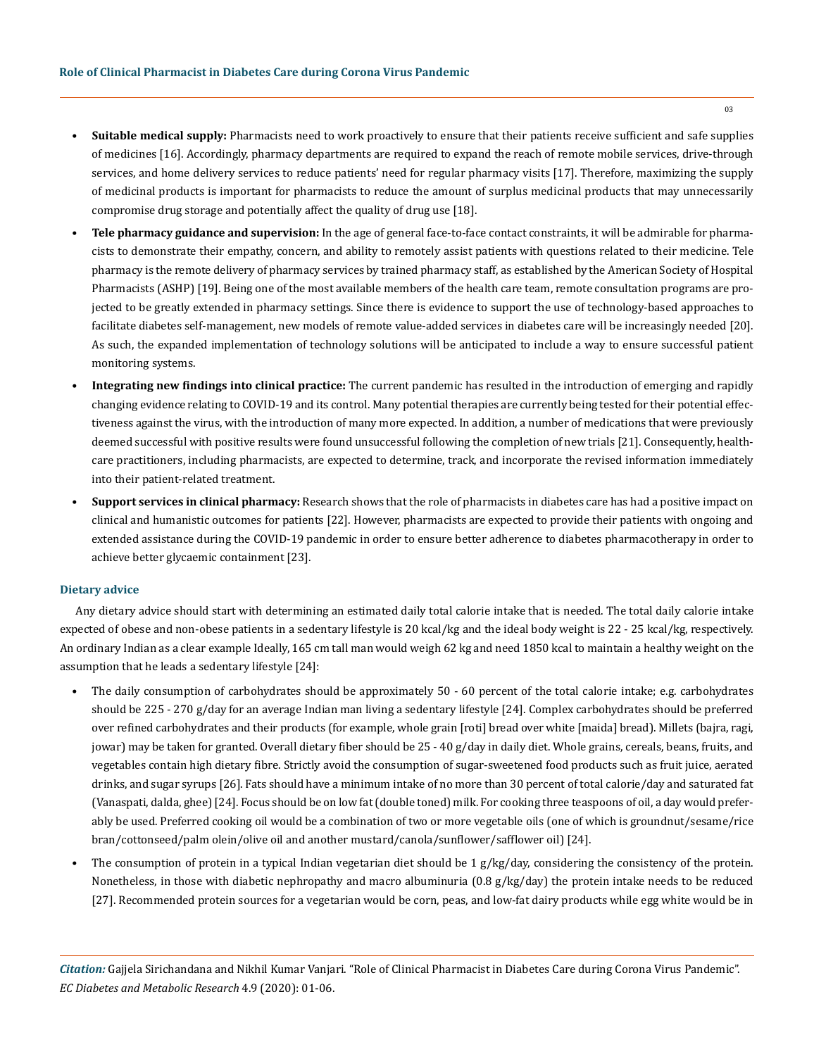- **• Suitable medical supply:** Pharmacists need to work proactively to ensure that their patients receive sufficient and safe supplies of medicines [16]. Accordingly, pharmacy departments are required to expand the reach of remote mobile services, drive-through services, and home delivery services to reduce patients' need for regular pharmacy visits [17]. Therefore, maximizing the supply of medicinal products is important for pharmacists to reduce the amount of surplus medicinal products that may unnecessarily compromise drug storage and potentially affect the quality of drug use [18].
- **• Tele pharmacy guidance and supervision:** In the age of general face-to-face contact constraints, it will be admirable for pharmacists to demonstrate their empathy, concern, and ability to remotely assist patients with questions related to their medicine. Tele pharmacy is the remote delivery of pharmacy services by trained pharmacy staff, as established by the American Society of Hospital Pharmacists (ASHP) [19]. Being one of the most available members of the health care team, remote consultation programs are projected to be greatly extended in pharmacy settings. Since there is evidence to support the use of technology-based approaches to facilitate diabetes self-management, new models of remote value-added services in diabetes care will be increasingly needed [20]. As such, the expanded implementation of technology solutions will be anticipated to include a way to ensure successful patient monitoring systems.
- **• Integrating new findings into clinical practice:** The current pandemic has resulted in the introduction of emerging and rapidly changing evidence relating to COVID-19 and its control. Many potential therapies are currently being tested for their potential effectiveness against the virus, with the introduction of many more expected. In addition, a number of medications that were previously deemed successful with positive results were found unsuccessful following the completion of new trials [21]. Consequently, healthcare practitioners, including pharmacists, are expected to determine, track, and incorporate the revised information immediately into their patient-related treatment.
- **• Support services in clinical pharmacy:** Research shows that the role of pharmacists in diabetes care has had a positive impact on clinical and humanistic outcomes for patients [22]. However, pharmacists are expected to provide their patients with ongoing and extended assistance during the COVID-19 pandemic in order to ensure better adherence to diabetes pharmacotherapy in order to achieve better glycaemic containment [23].

### **Dietary advice**

Any dietary advice should start with determining an estimated daily total calorie intake that is needed. The total daily calorie intake expected of obese and non-obese patients in a sedentary lifestyle is 20 kcal/kg and the ideal body weight is 22 - 25 kcal/kg, respectively. An ordinary Indian as a clear example Ideally, 165 cm tall man would weigh 62 kg and need 1850 kcal to maintain a healthy weight on the assumption that he leads a sedentary lifestyle [24]:

- The daily consumption of carbohydrates should be approximately 50 60 percent of the total calorie intake; e.g. carbohydrates should be 225 - 270 g/day for an average Indian man living a sedentary lifestyle [24]. Complex carbohydrates should be preferred over refined carbohydrates and their products (for example, whole grain [roti] bread over white [maida] bread). Millets (bajra, ragi, jowar) may be taken for granted. Overall dietary fiber should be 25 - 40 g/day in daily diet. Whole grains, cereals, beans, fruits, and vegetables contain high dietary fibre. Strictly avoid the consumption of sugar-sweetened food products such as fruit juice, aerated drinks, and sugar syrups [26]. Fats should have a minimum intake of no more than 30 percent of total calorie/day and saturated fat (Vanaspati, dalda, ghee) [24]. Focus should be on low fat (double toned) milk. For cooking three teaspoons of oil, a day would preferably be used. Preferred cooking oil would be a combination of two or more vegetable oils (one of which is groundnut/sesame/rice bran/cottonseed/palm olein/olive oil and another mustard/canola/sunflower/safflower oil) [24].
- The consumption of protein in a typical Indian vegetarian diet should be  $1 g/kg/day$ , considering the consistency of the protein. Nonetheless, in those with diabetic nephropathy and macro albuminuria (0.8 g/kg/day) the protein intake needs to be reduced [27]. Recommended protein sources for a vegetarian would be corn, peas, and low-fat dairy products while egg white would be in

*Citation:* Gajjela Sirichandana and Nikhil Kumar Vanjari. "Role of Clinical Pharmacist in Diabetes Care during Corona Virus Pandemic". *EC Diabetes and Metabolic Research* 4.9 (2020): 01-06.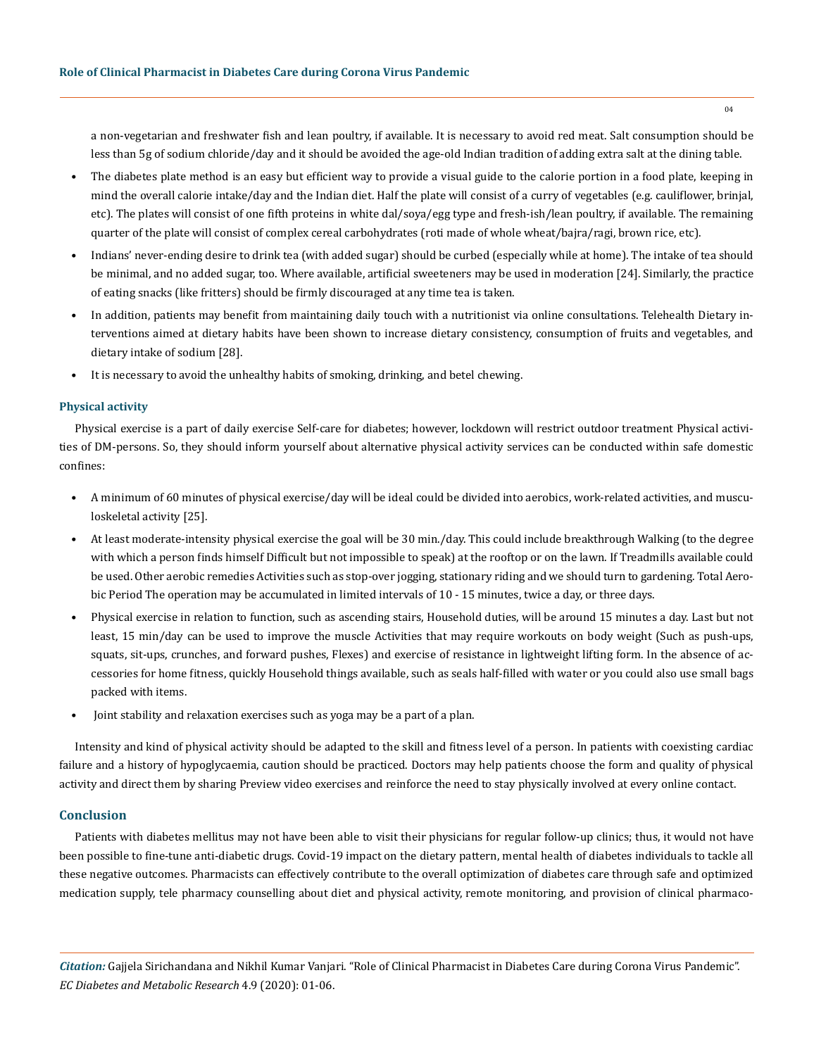a non-vegetarian and freshwater fish and lean poultry, if available. It is necessary to avoid red meat. Salt consumption should be less than 5g of sodium chloride/day and it should be avoided the age-old Indian tradition of adding extra salt at the dining table.

- The diabetes plate method is an easy but efficient way to provide a visual guide to the calorie portion in a food plate, keeping in mind the overall calorie intake/day and the Indian diet. Half the plate will consist of a curry of vegetables (e.g. cauliflower, brinjal, etc). The plates will consist of one fifth proteins in white dal/soya/egg type and fresh-ish/lean poultry, if available. The remaining quarter of the plate will consist of complex cereal carbohydrates (roti made of whole wheat/bajra/ragi, brown rice, etc).
- Indians' never-ending desire to drink tea (with added sugar) should be curbed (especially while at home). The intake of tea should be minimal, and no added sugar, too. Where available, artificial sweeteners may be used in moderation [24]. Similarly, the practice of eating snacks (like fritters) should be firmly discouraged at any time tea is taken.
- In addition, patients may benefit from maintaining daily touch with a nutritionist via online consultations. Telehealth Dietary interventions aimed at dietary habits have been shown to increase dietary consistency, consumption of fruits and vegetables, and dietary intake of sodium [28].
- It is necessary to avoid the unhealthy habits of smoking, drinking, and betel chewing.

### **Physical activity**

Physical exercise is a part of daily exercise Self-care for diabetes; however, lockdown will restrict outdoor treatment Physical activities of DM-persons. So, they should inform yourself about alternative physical activity services can be conducted within safe domestic confines:

- A minimum of 60 minutes of physical exercise/day will be ideal could be divided into aerobics, work-related activities, and musculoskeletal activity [25].
- At least moderate-intensity physical exercise the goal will be 30 min./day. This could include breakthrough Walking (to the degree with which a person finds himself Difficult but not impossible to speak) at the rooftop or on the lawn. If Treadmills available could be used. Other aerobic remedies Activities such as stop-over jogging, stationary riding and we should turn to gardening. Total Aerobic Period The operation may be accumulated in limited intervals of 10 - 15 minutes, twice a day, or three days.
- Physical exercise in relation to function, such as ascending stairs, Household duties, will be around 15 minutes a day. Last but not least, 15 min/day can be used to improve the muscle Activities that may require workouts on body weight (Such as push-ups, squats, sit-ups, crunches, and forward pushes, Flexes) and exercise of resistance in lightweight lifting form. In the absence of accessories for home fitness, quickly Household things available, such as seals half-filled with water or you could also use small bags packed with items.
- Joint stability and relaxation exercises such as yoga may be a part of a plan.

Intensity and kind of physical activity should be adapted to the skill and fitness level of a person. In patients with coexisting cardiac failure and a history of hypoglycaemia, caution should be practiced. Doctors may help patients choose the form and quality of physical activity and direct them by sharing Preview video exercises and reinforce the need to stay physically involved at every online contact.

### **Conclusion**

Patients with diabetes mellitus may not have been able to visit their physicians for regular follow-up clinics; thus, it would not have been possible to fine-tune anti-diabetic drugs. Covid-19 impact on the dietary pattern, mental health of diabetes individuals to tackle all these negative outcomes. Pharmacists can effectively contribute to the overall optimization of diabetes care through safe and optimized medication supply, tele pharmacy counselling about diet and physical activity, remote monitoring, and provision of clinical pharmaco-

*Citation:* Gajjela Sirichandana and Nikhil Kumar Vanjari. "Role of Clinical Pharmacist in Diabetes Care during Corona Virus Pandemic". *EC Diabetes and Metabolic Research* 4.9 (2020): 01-06.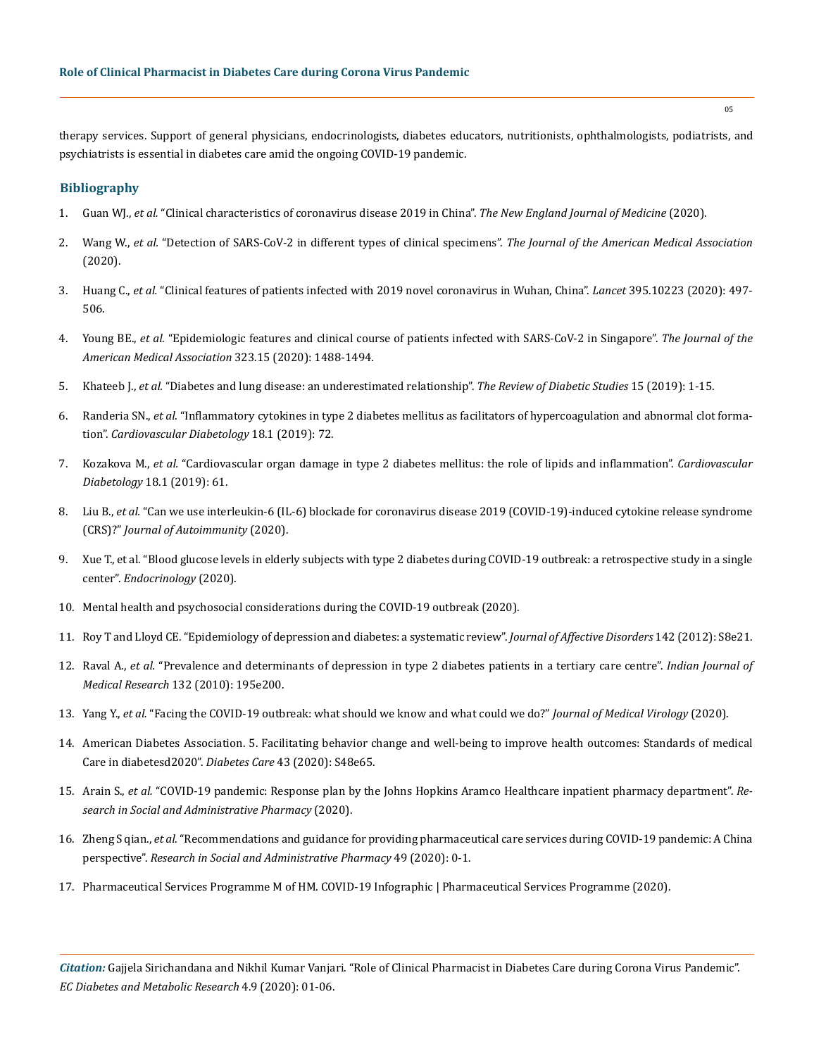therapy services. Support of general physicians, endocrinologists, diabetes educators, nutritionists, ophthalmologists, podiatrists, and psychiatrists is essential in diabetes care amid the ongoing COVID-19 pandemic.

### **Bibliography**

- 1. Guan WJ., *et al.* ["Clinical characteristics of coronavirus disease 2019 in China".](https://www.nejm.org/doi/full/10.1056/NEJMoa2002032) *The New England Journal of Medicine* (2020).
- 2. Wang W., *et al.* ["Detection of SARS-CoV-2 in different types of clinical specimens".](https://jamanetwork.com/journals/jama/fullarticle/2762997) *The Journal of the American Medical Association*  [\(2020\).](https://jamanetwork.com/journals/jama/fullarticle/2762997)
- 3. Huang C., *et al.* ["Clinical features of patients infected with 2019 novel coronavirus in Wuhan, China".](https://www.thelancet.com/journals/lancet/article/PIIS0140-6736(20)30183-5/fulltext) *Lancet* 395.10223 (2020): 497- [506.](https://www.thelancet.com/journals/lancet/article/PIIS0140-6736(20)30183-5/fulltext)
- 4. Young BE., *et al.* ["Epidemiologic features and clinical course of patients infected with SARS-CoV-2 in Singapore".](https://pubmed.ncbi.nlm.nih.gov/32125362/) *The Journal of the [American Medical Association](https://pubmed.ncbi.nlm.nih.gov/32125362/)* 323.15 (2020): 1488-1494.
- 5. Khateeb J., *et al.* ["Diabetes and lung disease: an underestimated relationship".](https://pubmed.ncbi.nlm.nih.gov/30489598/) *The Review of Diabetic Studies* 15 (2019): 1-15.
- 6. Randeria SN., *et al.* ["Inflammatory cytokines in type 2 diabetes mellitus as facilitators of hypercoagulation and abnormal clot forma](https://cardiab.biomedcentral.com/articles/10.1186/s12933-019-0870-9)tion". *[Cardiovascular Diabetology](https://cardiab.biomedcentral.com/articles/10.1186/s12933-019-0870-9)* 18.1 (2019): 72.
- 7. Kozakova M., *et al.* ["Cardiovascular organ damage in type 2 diabetes mellitus: the role of lipids and inflammation".](https://www.researchgate.net/publication/333010211_Cardiovascular_organ_damage_in_type_2_diabetes_mellitus_The_role_of_lipids_and_inflammation) *Cardiovascular Diabetology* [18.1 \(2019\): 61.](https://www.researchgate.net/publication/333010211_Cardiovascular_organ_damage_in_type_2_diabetes_mellitus_The_role_of_lipids_and_inflammation)
- 8. Liu B., *et al.* ["Can we use interleukin-6 \(IL-6\) blockade for coronavirus disease 2019 \(COVID-19\)-induced cytokine release syndrome](https://pubmed.ncbi.nlm.nih.gov/32291137/) (CRS)?" *[Journal of Autoimmunity](https://pubmed.ncbi.nlm.nih.gov/32291137/)* (2020).
- 9. Xue T., et al. "Blood glucose levels in elderly subjects with type 2 diabetes during COVID-19 outbreak: a retrospective study in a single center". *Endocrinology* (2020).
- 10. [Mental health and psychosocial considerations during the COVID-19 outbreak \(2020\).](https://www.who.int/docs/default-source/coronaviruse/mental-health-considerations.pdf?sfvrsn=6d3578af_2)
- 11. [Roy T and Lloyd CE. "Epidemiology of depression and diabetes: a systematic review".](https://pubmed.ncbi.nlm.nih.gov/23062861/) *Journal of Affective Disorders* 142 (2012): S8e21.
- 12. Raval A., *et al.* ["Prevalence and determinants of depression in type 2 diabetes patients in a tertiary care centre".](https://pubmed.ncbi.nlm.nih.gov/20716820/) *Indian Journal of Medical Research* [132 \(2010\): 195e200.](https://pubmed.ncbi.nlm.nih.gov/20716820/)
- 13. Yang Y., *et al.* ["Facing the COVID-19 outbreak: what should we know and what could we do?"](https://onlinelibrary.wiley.com/doi/full/10.1002/jmv.25720) *Journal of Medical Virology* (2020).
- 14. [American Diabetes Association. 5. Facilitating behavior change and well-being to improve health outcomes: Standards of medical](https://care.diabetesjournals.org/content/diacare/43/Supplement_1/S48.full.pdf) [Care in diabetesd2020".](https://care.diabetesjournals.org/content/diacare/43/Supplement_1/S48.full.pdf) *Diabetes Care* 43 (2020): S48e65.
- 15. Arain S., *et al.* ["COVID-19 pandemic: Response plan by the Johns Hopkins Aramco Healthcare inpatient pharmacy department".](https://www.sciencedirect.com/science/article/pii/S1551741120305374) *Re[search in Social and Administrative Pharmacy](https://www.sciencedirect.com/science/article/pii/S1551741120305374)* (2020).
- 16. Zheng S qian., *et al.* ["Recommendations and guidance for providing pharmaceutical care services during COVID-19 pandemic: A China](https://www.ncbi.nlm.nih.gov/pmc/articles/PMC7102520/) perspective". *[Research in Social and Administrative Pharmacy](https://www.ncbi.nlm.nih.gov/pmc/articles/PMC7102520/)* 49 (2020): 0-1.
- 17. [Pharmaceutical Services Programme M of HM. COVID-19 Infographic | Pharmaceutical Services Programme \(2020\).](https://www.pharmacy.gov.my/v2/en/covid-19)

*Citation:* Gajjela Sirichandana and Nikhil Kumar Vanjari. "Role of Clinical Pharmacist in Diabetes Care during Corona Virus Pandemic". *EC Diabetes and Metabolic Research* 4.9 (2020): 01-06.